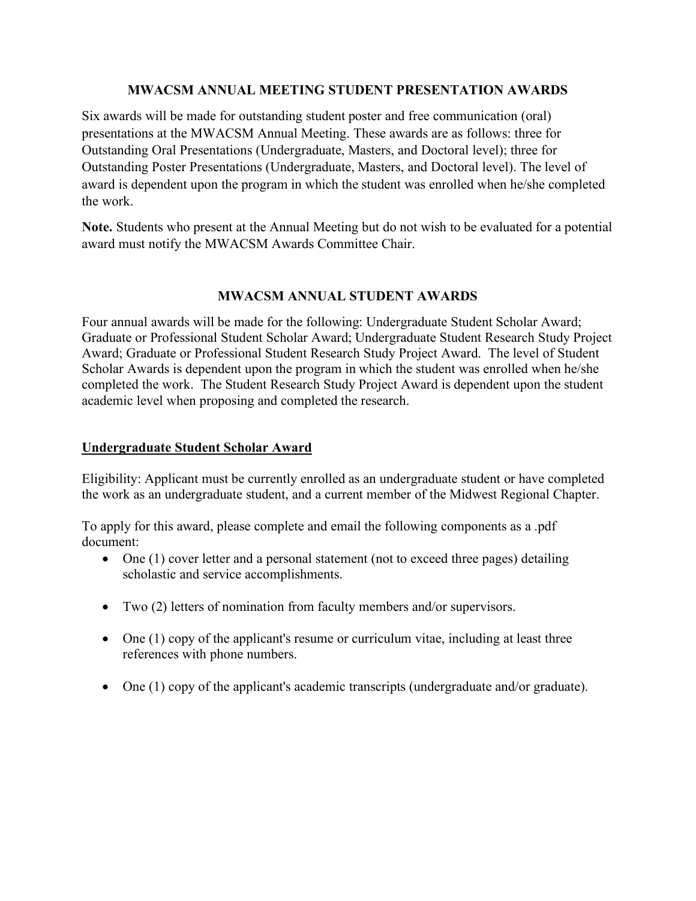#### **MWACSM ANNUAL MEETING STUDENT PRESENTATION AWARDS**

Six awards will be made for outstanding student poster and free communication (oral) presentations at the MWACSM Annual Meeting. These awards are as follows: three for Outstanding Oral Presentations (Undergraduate, Masters, and Doctoral level); three for Outstanding Poster Presentations (Undergraduate, Masters, and Doctoral level). The level of award is dependent upon the program in which the student was enrolled when he/she completed the work.

**Note.** Students who present at the Annual Meeting but do not wish to be evaluated for a potential award must notify the MWACSM Awards Committee Chair.

# **MWACSM ANNUAL STUDENT AWARDS**

Four annual awards will be made for the following: Undergraduate Student Scholar Award; Graduate or Professional Student Scholar Award; Undergraduate Student Research Study Project Award; Graduate or Professional Student Research Study Project Award. The level of Student Scholar Awards is dependent upon the program in which the student was enrolled when he/she completed the work. The Student Research Study Project Award is dependent upon the student academic level when proposing and completed the research.

## **Undergraduate Student Scholar Award**

Eligibility: Applicant must be currently enrolled as an undergraduate student or have completed the work as an undergraduate student, and a current member of the Midwest Regional Chapter.

To apply for this award, please complete and email the following components as a .pdf document:

- One (1) cover letter and a personal statement (not to exceed three pages) detailing scholastic and service accomplishments.
- Two (2) letters of nomination from faculty members and/or supervisors.
- One (1) copy of the applicant's resume or curriculum vitae, including at least three references with phone numbers.
- One (1) copy of the applicant's academic transcripts (undergraduate and/or graduate).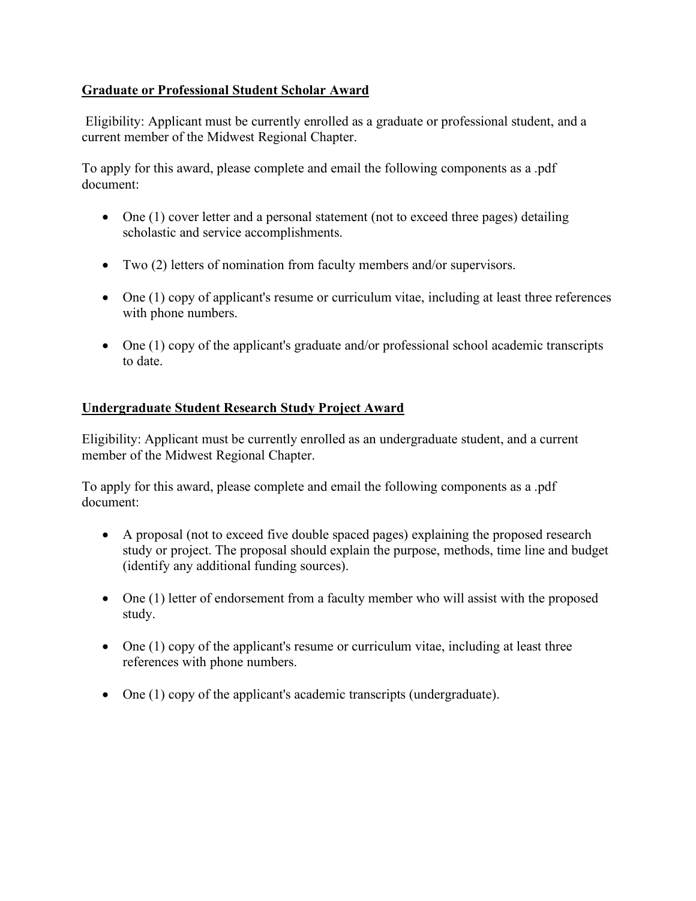# **Graduate or Professional Student Scholar Award**

Eligibility: Applicant must be currently enrolled as a graduate or professional student, and a current member of the Midwest Regional Chapter.

To apply for this award, please complete and email the following components as a .pdf document:

- One (1) cover letter and a personal statement (not to exceed three pages) detailing scholastic and service accomplishments.
- Two (2) letters of nomination from faculty members and/or supervisors.
- One (1) copy of applicant's resume or curriculum vitae, including at least three references with phone numbers.
- One (1) copy of the applicant's graduate and/or professional school academic transcripts to date.

# **Undergraduate Student Research Study Project Award**

Eligibility: Applicant must be currently enrolled as an undergraduate student, and a current member of the Midwest Regional Chapter.

To apply for this award, please complete and email the following components as a .pdf document:

- A proposal (not to exceed five double spaced pages) explaining the proposed research study or project. The proposal should explain the purpose, methods, time line and budget (identify any additional funding sources).
- One (1) letter of endorsement from a faculty member who will assist with the proposed study.
- One (1) copy of the applicant's resume or curriculum vitae, including at least three references with phone numbers.
- One (1) copy of the applicant's academic transcripts (undergraduate).